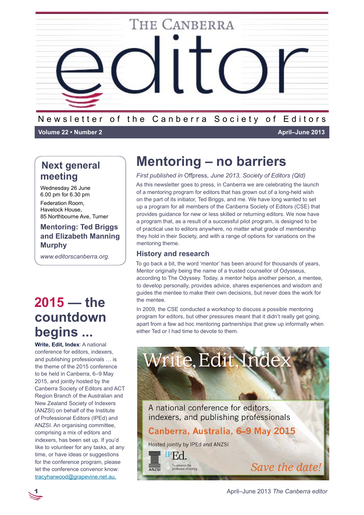

### Newsletter of the Canberra Society of Editors

**Volume 22 • Number 2 April–June 2013**

## **Next general meeting**

Wednesday 26 June 6.00 pm for 6.30 pm Federation Room, Havelock House, 85 Northbourne Ave, Turner

### **Mentoring: Ted Briggs and Elizabeth Manning Murphy**

*www.editorscanberra.org.*

# **2015 — the countdown begins ...**

**Write, Edit, Index**: A national conference for editors, indexers, and publishing professionals … is the theme of the 2015 conference to be held in Canberra, 6–9 May 2015, and jointly hosted by the Canberra Society of Editors and ACT Region Branch of the Australian and New Zealand Society of Indexers (ANZSI) on behalf of the Institute of Professional Editors (IPEd) and ANZSI. An organising committee, comprising a mix of editors and indexers, has been set up. If you'd like to volunteer for any tasks, at any time, or have ideas or suggestions for the conference program, please let the conference convenor know: [tracyharwood@grapevine.net.au.](mailto:tracyharwood%40grapevine.net.au?subject=2015%20Write%2C%20Edit%2C%20Index)

# **Mentoring – no barriers**

*First published in* Offpress*, June 2013, Society of Editors (Qld)*

As this newsletter goes to press, in Canberra we are celebrating the launch of a mentoring program for editors that has grown out of a long-held wish on the part of its initiator, Ted Briggs, and me. We have long wanted to set up a program for all members of the Canberra Society of Editors (CSE) that provides guidance for new or less skilled or returning editors. We now have a program that, as a result of a successful pilot program, is designed to be of practical use to editors anywhere, no matter what grade of membership they hold in their Society, and with a range of options for variations on the mentoring theme.

### **History and research**

To go back a bit, the word 'mentor' has been around for thousands of years, Mentor originally being the name of a trusted counsellor of Odysseus, according to The Odyssey. Today, a mentor helps another person, a mentee, to develop personally, provides advice, shares experiences and wisdom and guides the mentee to make their own decisions, but never does the work for the mentee.

In 2009, the CSE conducted a workshop to discuss a possible mentoring program for editors, but other pressures meant that it didn't really get going, apart from a few ad hoc mentoring partnerships that grew up informally when either Ted or I had time to devote to them.



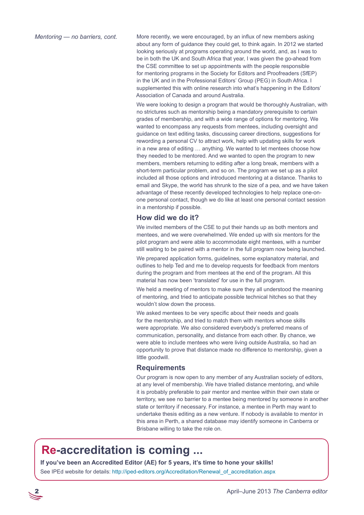*Mentoring — no barriers, cont.*

More recently, we were encouraged, by an influx of new members asking about any form of guidance they could get, to think again. In 2012 we started looking seriously at programs operating around the world, and, as I was to be in both the UK and South Africa that year, I was given the go-ahead from the CSE committee to set up appointments with the people responsible for mentoring programs in the Society for Editors and Proofreaders (SfEP) in the UK and in the Professional Editors' Group (PEG) in South Africa. I supplemented this with online research into what's happening in the Editors' Association of Canada and around Australia.

We were looking to design a program that would be thoroughly Australian, with no strictures such as mentorship being a mandatory prerequisite to certain grades of membership, and with a wide range of options for mentoring. We wanted to encompass any requests from mentees, including oversight and guidance on text editing tasks, discussing career directions, suggestions for rewording a personal CV to attract work, help with updating skills for work in a new area of editing … anything. We wanted to let mentees choose how they needed to be mentored. And we wanted to open the program to new members, members returning to editing after a long break, members with a short-term particular problem, and so on. The program we set up as a pilot included all those options and introduced mentoring at a distance. Thanks to email and Skype, the world has shrunk to the size of a pea, and we have taken advantage of these recently developed technologies to help replace one-onone personal contact, though we do like at least one personal contact session in a mentorship if possible.

#### **How did we do it?**

We invited members of the CSE to put their hands up as both mentors and mentees, and we were overwhelmed. We ended up with six mentors for the pilot program and were able to accommodate eight mentees, with a number still waiting to be paired with a mentor in the full program now being launched.

We prepared application forms, guidelines, some explanatory material, and outlines to help Ted and me to develop requests for feedback from mentors during the program and from mentees at the end of the program. All this material has now been 'translated' for use in the full program.

We held a meeting of mentors to make sure they all understood the meaning of mentoring, and tried to anticipate possible technical hitches so that they wouldn't slow down the process.

We asked mentees to be very specific about their needs and goals for the mentorship, and tried to match them with mentors whose skills were appropriate. We also considered everybody's preferred means of communication, personality, and distance from each other. By chance, we were able to include mentees who were living outside Australia, so had an opportunity to prove that distance made no difference to mentorship, given a little goodwill.

#### **Requirements**

Our program is now open to any member of any Australian society of editors, at any level of membership. We have trialled distance mentoring, and while it is probably preferable to pair mentor and mentee within their own state or territory, we see no barrier to a mentee being mentored by someone in another state or territory if necessary. For instance, a mentee in Perth may want to undertake thesis editing as a new venture. If nobody is available to mentor in this area in Perth, a shared database may identify someone in Canberra or Brisbane willing to take the role on.

## **Re-accreditation is coming ...**

**If you've been an Accredited Editor (AE) for 5 years, it's time to hone your skills!**

See IPEd website for details: [http://iped-editors.org/Accreditation/Renewal\\_of\\_accreditation.aspx](http://iped-editors.org/Accreditation/Renewal_of_accreditation.aspx)

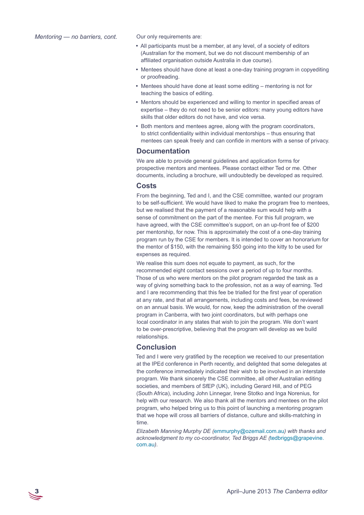Our only requirements are:

- All participants must be a member, at any level, of a society of editors (Australian for the moment, but we do not discount membership of an affiliated organisation outside Australia in due course).
- Mentees should have done at least a one-day training program in copyediting or proofreading.
- Mentees should have done at least some editing mentoring is not for teaching the basics of editing.
- Mentors should be experienced and willing to mentor in specified areas of expertise – they do not need to be senior editors: many young editors have skills that older editors do not have, and vice versa.
- Both mentors and mentees agree, along with the program coordinators, to strict confidentiality within individual mentorships – thus ensuring that mentees can speak freely and can confide in mentors with a sense of privacy.

#### **Documentation**

We are able to provide general guidelines and application forms for prospective mentors and mentees. Please contact either Ted or me. Other documents, including a brochure, will undoubtedly be developed as required.

#### **Costs**

From the beginning, Ted and I, and the CSE committee, wanted our program to be self-sufficient. We would have liked to make the program free to mentees, but we realised that the payment of a reasonable sum would help with a sense of commitment on the part of the mentee. For this full program, we have agreed, with the CSE committee's support, on an up-front fee of \$200 per mentorship, for now. This is approximately the cost of a one-day training program run by the CSE for members. It is intended to cover an honorarium for the mentor of \$150, with the remaining \$50 going into the kitty to be used for expenses as required.

We realise this sum does not equate to payment, as such, for the recommended eight contact sessions over a period of up to four months. Those of us who were mentors on the pilot program regarded the task as a way of giving something back to the profession, not as a way of earning. Ted and I are recommending that this fee be trialled for the first year of operation at any rate, and that all arrangements, including costs and fees, be reviewed on an annual basis. We would, for now, keep the administration of the overall program in Canberra, with two joint coordinators, but with perhaps one local coordinator in any states that wish to join the program. We don't want to be over-prescriptive, believing that the program will develop as we build relationships.

#### **Conclusion**

Ted and I were very gratified by the reception we received to our presentation at the IPEd conference in Perth recently, and delighted that some delegates at the conference immediately indicated their wish to be involved in an interstate program. We thank sincerely the CSE committee, all other Australian editing societies, and members of SfEP (UK), including Gerard Hill, and of PEG (South Africa), including John Linnegar, Irene Stotko and Inga Norenius, for help with our research. We also thank all the mentors and mentees on the pilot program, who helped bring us to this point of launching a mentoring program that we hope will cross all barriers of distance, culture and skills-matching in time.

*Elizabeth Manning Murphy DE (*[emmurphy@ozemail.com.au](mailto:emmurphy%40ozemail.com.au?subject=)*) with thanks and acknowledgment to my co-coordinator, Ted Briggs AE (*[tedbriggs@grapevine.](mailto:tedbriggs%40grapevine.com.au?subject=) [com.au](mailto:tedbriggs%40grapevine.com.au?subject=)*).*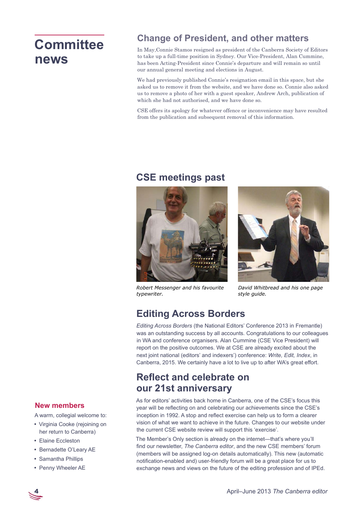# **Committee news**

## **Change of President, and other matters**

In May,Connie Stamos resigned as president of the Canberra Society of Editors to take up a full-time position in Sydney. Our Vice-President, Alan Cummine, has been Acting-President since Connie's departure and will remain so until our annual general meeting and elections in August.

We had previously published Connie's resignation email in this space, but she asked us to remove it from the website, and we have done so. Connie also asked us to remove a photo of her with a guest speaker, Andrew Arch, publication of which she had not authorised, and we have done so.

CSE offers its apology for whatever offence or inconvenience may have resulted from the publication and subsequent removal of this information.

## **CSE meetings past**



*Robert Messenger and his favourite typewriter.*



*David Whitbread and his one page style guide.*

## **Editing Across Borders**

*Editing Across Borders* (the National Editors' Conference 2013 in Fremantle) was an outstanding success by all accounts. Congratulations to our colleagues in WA and conference organisers. Alan Cummine (CSE Vice President) will report on the positive outcomes. We at CSE are already excited about the next joint national (editors' and indexers') conference: *Write, Edit, Index*, in Canberra, 2015. We certainly have a lot to live up to after WA's great effort.

## **Reflect and celebrate on our 21st anniversary**

As for editors' activities back home in Canberra, one of the CSE's focus this year will be reflecting on and celebrating our achievements since the CSE's inception in 1992. A stop and reflect exercise can help us to form a clearer vision of what we want to achieve in the future. Changes to our website under the current CSE website review will support this 'exercise'.

The Member's Only section is already on the internet—that's where you'll find our newsletter, *The Canberra editor*, and the new CSE members' forum (members will be assigned log-on details automatically). This new (automatic notification-enabled and) user-friendly forum will be a great place for us to exchange news and views on the future of the editing profession and of IPEd.

### **New members**

A warm, collegial welcome to:

- Virginia Cooke (rejoining on her return to Canberra)
- y Elaine Eccleston
- Bernadette O'Leary AE
- Samantha Phillips
- Penny Wheeler AE

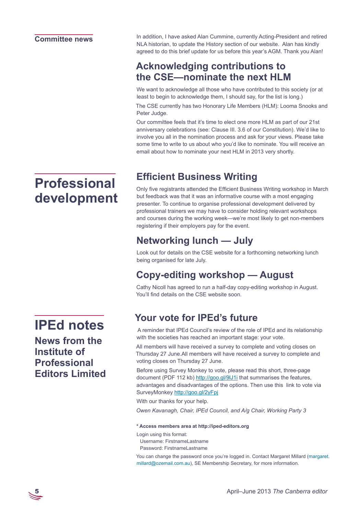### **Committee news**

In addition, I have asked Alan Cummine, currently Acting-President and retired NLA historian, to update the History section of our website. Alan has kindly agreed to do this brief update for us before this year's AGM. Thank you Alan!

## **Acknowledging contributions to the CSE—nominate the next HLM**

We want to acknowledge all those who have contributed to this society (or at least to begin to acknowledge them, I should say, for the list is long.)

The CSE currently has two Honorary Life Members (HLM): Looma Snooks and Peter Judge.

Our committee feels that it's time to elect one more HLM as part of our 21st anniversary celebrations (see: Clause III. 3.6 of our Constitution). We'd like to involve you all in the nomination process and ask for your views. Please take some time to write to us about who you'd like to nominate. You will receive an email about how to nominate your next HLM in 2013 very shortly.

# **Efficient Business Writing**

Only five registrants attended the Efficient Business Writing workshop in March but feedback was that it was an informative course with a most engaging presenter. To continue to organise professional development delivered by professional trainers we may have to consider holding relevant workshops and courses during the working week—we're most likely to get non-members registering if their employers pay for the event.

## **Networking lunch — July**

Look out for details on the CSE website for a forthcoming networking lunch being organised for late July.

## **Copy-editing workshop — August**

Cathy Nicoll has agreed to run a half-day copy-editing workshop in August. You'll find details on the CSE website soon.

## **Your vote for IPEd's future**

 A reminder that IPEd Council's review of the role of IPEd and its relationship with the societies has reached an important stage: your vote.

All members will have received a survey to complete and voting closes on Thursday 27 June.All members will have received a survey to complete and voting closes on Thursday 27 June.

Before using Survey Monkey to vote, please read this short, three-page document (PDF 112 kb[\) http://goo.gl/9lJ1i](%20http://goo.gl/9lJ1i) that summarises the features, advantages and disadvantages of the options. Then use this link to vote via SurveyMonkey<http://goo.gl/2yFpj>

With our thanks for your help.

*Owen Kavanagh, Chair, IPEd Council, and A/g Chair, Working Party 3*

#### **\* Access members area at http://iped-editors.org**

Login using this format:

- Username: FirstnameLastname
- Password: FirstnameLastname

You can change the password once you're logged in. Contact Margaret Millard ([margaret.](mailto:margaret.millard%40ozemail.com.au?subject=member%20access%20to%20IPEd%20website) [millard@ozemail.com.au](mailto:margaret.millard%40ozemail.com.au?subject=member%20access%20to%20IPEd%20website)), SE Membership Secretary, for more information.

# **Professional development**

## **IPEd notes**

**News from the Institute of Professional Editors Limited**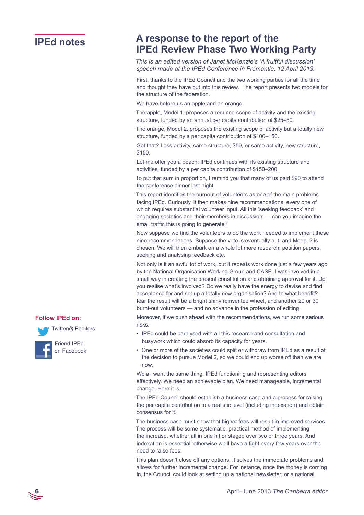### **IPEd notes**

## **A response to the report of the IPEd Review Phase Two Working Party**

*This is an edited version of Janet McKenzie's 'A fruitful discussion' speech made at the IPEd Conference in Fremantle, 12 April 2013.* 

First, thanks to the IPEd Council and the two working parties for all the time and thought they have put into this review. The report presents two models for the structure of the federation.

We have before us an apple and an orange.

The apple, Model 1, proposes a reduced scope of activity and the existing structure, funded by an annual per capita contribution of \$25–50.

The orange, Model 2, proposes the existing scope of activity but a totally new structure, funded by a per capita contribution of \$100–150.

Get that? Less activity, same structure, \$50, or same activity, new structure, \$150.

Let me offer you a peach: IPEd continues with its existing structure and activities, funded by a per capita contribution of \$150–200.

To put that sum in proportion, I remind you that many of us paid \$90 to attend the conference dinner last night.

This report identifies the burnout of volunteers as one of the main problems facing IPEd. Curiously, it then makes nine recommendations, every one of which requires substantial volunteer input. All this 'seeking feedback' and 'engaging societies and their members in discussion' — can you imagine the email traffic this is going to generate?

Now suppose we find the volunteers to do the work needed to implement these nine recommendations. Suppose the vote is eventually put, and Model 2 is chosen. We will then embark on a whole lot more research, position papers, seeking and analysing feedback etc.

Not only is it an awful lot of work, but it repeats work done just a few years ago by the National Organisation Working Group and CASE. I was involved in a small way in creating the present constitution and obtaining approval for it. Do you realise what's involved? Do we really have the energy to devise and find acceptance for and set up a totally new organisation? And to what benefit? I fear the result will be a bright shiny reinvented wheel, and another 20 or 30 burnt-out volunteers — and no advance in the profession of editing.

Moreover, if we push ahead with the recommendations, we run some serious risks.

- IPEd could be paralysed with all this research and consultation and busywork which could absorb its capacity for years.
- One or more of the societies could split or withdraw from IPEd as a result of the decision to pursue Model 2, so we could end up worse off than we are now.

We all want the same thing: IPEd functioning and representing editors effectively. We need an achievable plan. We need manageable, incremental change. Here it is:

The IPEd Council should establish a business case and a process for raising the per capita contribution to a realistic level (including indexation) and obtain consensus for it.

The business case must show that higher fees will result in improved services. The process will be some systematic, practical method of implementing the increase, whether all in one hit or staged over two or three years. And indexation is essential: otherwise we'll have a fight every few years over the need to raise fees.

This plan doesn't close off any options. It solves the immediate problems and allows for further incremental change. For instance, once the money is coming in, the Council could look at setting up a national newsletter, or a national

### **Follow IPEd on:**



Friend IPEd on [Facebook](https://www.facebook.com/IPEditors)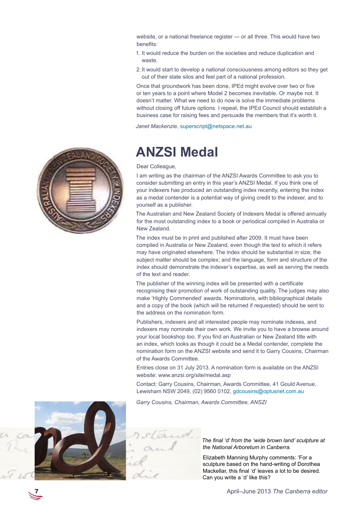website, or a national freelance register — or all three. This would have two benefits:

- 1. It would reduce the burden on the societies and reduce duplication and waste.
- 2.It would start to develop a national consciousness among editors so they get out of their state silos and feel part of a national profession.

Once that groundwork has been done, IPEd might evolve over two or five or ten years to a point where Model 2 becomes inevitable. Or maybe not. It doesn't matter. What we need to do now is solve the immediate problems without closing off future options. I repeat, the IPEd Council should establish a business case for raising fees and persuade the members that it's worth it.

*Janet Mackenzie,* [superscript@netspace.net.au](mailto:superscript%40netspace.net.au?subject=)



# **ANZSI Medal**

#### Dear Colleague,

I am writing as the chairman of the ANZSI Awards Committee to ask you to consider submitting an entry in this year's ANZSI Medal. If you think one of your indexers has produced an outstanding index recently, entering the index as a medal contender is a potential way of giving credit to the indexer, and to yourself as a publisher.

The Australian and New Zealand Society of Indexers Medal is offered annually for the most outstanding index to a book or periodical compiled in Australia or New Zealand.

The index must be in print and published after 2009. It must have been compiled in Australia or New Zealand, even though the text to which it refers may have originated elsewhere. The index should be substantial in size; the subject matter should be complex; and the language, form and structure of the index should demonstrate the indexer's expertise, as well as serving the needs of the text and reader.

The publisher of the winning index will be presented with a certificate recognising their promotion of work of outstanding quality. The judges may also make 'Highly Commended' awards. Nominations, with bibliographical details and a copy of the book (which will be returned if requested) should be sent to the address on the nomination form.

Publishers, indexers and all interested people may nominate indexes, and indexers may nominate their own work. We invite you to have a browse around your local bookshop too. If you find an Australian or New Zealand title with an index, which looks as though it could be a Medal contender, complete the nomination form on the ANZSI website and send it to Garry Cousins, Chairman of the Awards Committee.

Entries close on 31 July 2013. A nomination form is available on the ANZSI website: www.anzsi.org/site/medal.asp

Contact: Garry Cousins, Chairman, Awards Committee, 41 Gould Avenue, Lewisham NSW 2049, (02) 9560 0102, [gdcousins@optusnet.com.au](mailto:gdcousins%40optusnet.com.au?subject=ANZSI%20Medal)

*Garry Cousins, Chairman, Awards Committee, ANSZI*



*The final 'd' from the 'wide brown land' sculpture at the National Arboretum in Canberra.*

Elizabeth Manning Murphy comments: 'For a sculpture based on the hand-writing of Dorothea Mackellar, this final 'd' leaves a lot to be desired. Can you write a 'd' like this?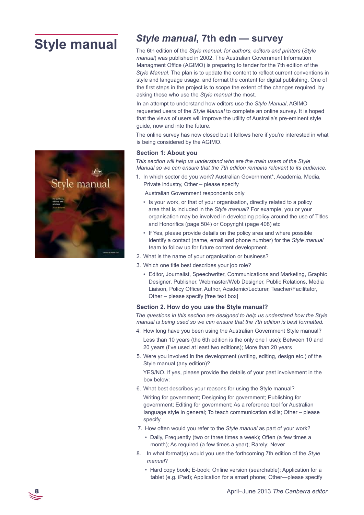# **Style manual**



## *Style manual***, 7th edn — survey**

The 6th edition of the *Style manual: for authors, editors and printers* (*Style manual*) was published in 2002. The Australian Government Information Managment Office (AGIMO) is preparing to tender for the 7th edition of the *Style Manual*. The plan is to update the content to reflect current conventions in style and language usage, and format the content for digital publishing. One of the first steps in the project is to scope the extent of the changes required, by asking those who use the *Style manual* the most.

In an attempt to understand how editors use the *Style Manual*, AGIMO requested users of the *Style Manual* to complete an online survey. It is hoped that the views of users will improve the utility of Australia's pre-eminent style guide, now and into the future.

The online survey has now closed but it follows here if you're interested in what is being considered by the AGIMO.

#### **Section 1: About you**

*This section will help us understand who are the main users of the Style Manual so we can ensure that the 7th edition remains relevant to its audience.*

1. In which sector do you work? Australian Government\*, Academia, Media, Private industry, Other – please specify

Australian Government respondents only

- Is your work, or that of your organisation, directly related to a policy area that is included in the *Style manual*? For example, you or your organisation may be involved in developing policy around the use of Titles and Honorifics (page 504) or Copyright (page 408) etc
- If Yes, please provide details on the policy area and where possible identify a contact (name, email and phone number) for the *Style manual* team to follow up for future content development.
- 2. What is the name of your organisation or business?
- 3. Which one title best describes your job role?
	- Editor, Journalist, Speechwriter, Communications and Marketing, Graphic Designer, Publisher, Webmaster/Web Designer, Public Relations, Media Liaison, Policy Officer, Author, Academic/Lecturer, Teacher/Facilitator, Other – please specify [free text box]

#### **Section 2. How do you use the Style manual?**

*The questions in this section are designed to help us understand how the Style manual is being used so we can ensure that the 7th edition is best formatted.*

- 4. How long have you been using the Australian Government Style manual? Less than 10 years (the 6th edition is the only one I use); Between 10 and 20 years (I've used at least two editions); More than 20 years
- 5. Were you involved in the development (writing, editing, design etc.) of the Style manual (any edition)?

YES/NO. If yes, please provide the details of your past involvement in the box below:

- 6. What best describes your reasons for using the Style manual? Writing for government; Designing for government; Publishing for government; Editing for government; As a reference tool for Australian language style in general; To teach communication skills; Other – please specify
- 7. How often would you refer to the *Style manual* as part of your work?
	- Daily, Frequently (two or three times a week); Often (a few times a month); As required (a few times a year); Rarely; Never
- 8. In what format(s) would you use the forthcoming 7th edition of the *Style manual*?
	- Hard copy book; E-book; Online version (searchable); Application for a tablet (e.g. iPad); Application for a smart phone; Other—please specify

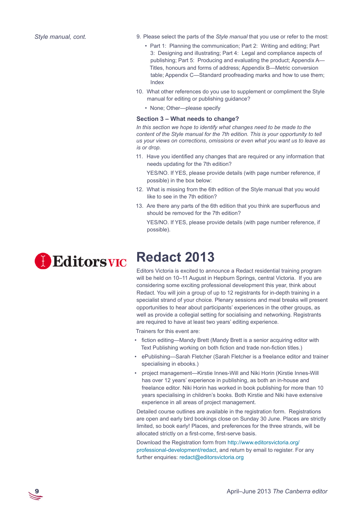- 9. Please select the parts of the *Style manual* that you use or refer to the most:
	- Part 1: Planning the communication; Part 2: Writing and editing; Part 3: Designing and illustrating; Part 4: Legal and compliance aspects of publishing; Part 5: Producing and evaluating the product; Appendix A— Titles, honours and forms of address; Appendix B—Metric conversion table; Appendix C—Standard proofreading marks and how to use them; Index
- 10. What other references do you use to supplement or compliment the Style manual for editing or publishing guidance?
	- None; Other—please specify

#### **Section 3 – What needs to change?**

*In this section we hope to identify what changes need to be made to the content of the Style manual for the 7th edition. This is your opportunity to tell us your views on corrections, omissions or even what you want us to leave as is or drop.*

11. Have you identified any changes that are required or any information that needs updating for the 7th edition?

YES/NO. If YES, please provide details (with page number reference, if possible) in the box below:

- 12. What is missing from the 6th edition of the Style manual that you would like to see in the 7th edition?
- 13. Are there any parts of the 6th edition that you think are superfluous and should be removed for the 7th edition?

YES/NO. If YES, please provide details (with page number reference, if possible).



# **Redact 2013**

Editors Victoria is excited to announce a Redact residential training program will be held on 10–11 August in Hepburn Springs, central Victoria. If you are considering some exciting professional development this year, think about Redact. You will join a group of up to 12 registrants for in-depth training in a specialist strand of your choice. Plenary sessions and meal breaks will present opportunities to hear about participants' experiences in the other groups, as well as provide a collegial setting for socialising and networking. Registrants are required to have at least two years' editing experience.

Trainers for this event are:

- fiction editing—Mandy Brett (Mandy Brett is a senior acquiring editor with Text Publishing working on both fiction and trade non-fiction titles.)
- ePublishing—Sarah Fletcher (Sarah Fletcher is a freelance editor and trainer specialising in ebooks.)
- project management—Kirstie Innes-Will and Niki Horin (Kirstie Innes-Will has over 12 years' experience in publishing, as both an in-house and freelance editor. Niki Horin has worked in book publishing for more than 10 years specialising in children's books. Both Kirstie and Niki have extensive experience in all areas of project management.

Detailed course outlines are available in the registration form. Registrations are open and early bird bookings close on Sunday 30 June. Places are strictly limited, so book early! Places, and preferences for the three strands, will be allocated strictly on a first-come, first-serve basis.

Download the Registration form from [http://www.editorsvictoria.org/](http://www.editorsvictoria.org/professional-development/redact) [professional-development/redact](http://www.editorsvictoria.org/professional-development/redact), and return by email to register. For any further enquiries: [redact@editorsvictoria.org](mailto:redact%40editorsvictoria.org?subject=Redact)

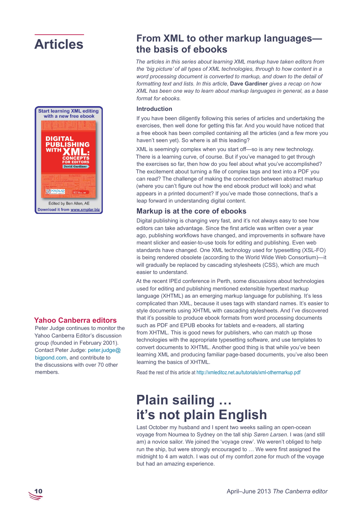# **Articles**



### **Yahoo Canberra editors**

Peter Judge continues to monitor the Yahoo Canberra Editor's discussion group (founded in February 2001). Contact Peter Judge: [peter.judge@](mailto:peter.judge%40bigpond.com?subject=) [bigpond.com,](mailto:peter.judge%40bigpond.com?subject=) and contribute to the discussions with over 70 other members.

## **From XML to other markup languages the basis of ebooks**

*The articles in this series about learning XML markup have taken editors from the 'big picture' of all types of XML technologies, through to how content in a word processing document is converted to markup, and down to the detail of formatting text and lists. In this article,* **Dave Gardiner** *gives a recap on how XML has been one way to learn about markup languages in general, as a base format for ebooks.*

#### **Introduction**

If you have been diligently following this series of articles and undertaking the exercises, then well done for getting this far. And you would have noticed that a free ebook has been compiled containing all the articles (and a few more you haven't seen yet). So where is all this leading?

XML is seemingly complex when you start off—so is any new technology. There is a learning curve, of course. But if you've managed to get through the exercises so far, then how do you feel about what you've accomplished? The excitement about turning a file of complex tags and text into a PDF you can read? The challenge of making the connection between abstract markup (where you can't figure out how the end ebook product will look) and what appears in a printed document? If you've made those connections, that's a leap forward in understanding digital content.

### **Markup is at the core of ebooks**

Digital publishing is changing very fast, and it's not always easy to see how editors can take advantage. Since the first article was written over a year ago, publishing workflows have changed, and improvements in software have meant slicker and easier-to-use tools for editing and publishing. Even web standards have changed. One XML technology used for typesetting (XSL-FO) is being rendered obsolete (according to the World Wide Web Consortium)—it will gradually be replaced by cascading stylesheets (CSS), which are much easier to understand.

At the recent IPEd conference in Perth, some discussions about technologies used for editing and publishing mentioned extensible hypertext markup language (XHTML) as an emerging markup language for publishing. It's less complicated than XML, because it uses tags with standard names. It's easier to style documents using XHTML with cascading stylesheets. And I've discovered that it's possible to produce ebook formats from word processing documents such as PDF and EPUB ebooks for tablets and e-readers, all starting from XHTML. This is good news for publishers, who can match up those technologies with the appropriate typesetting software, and use templates to convert documents to XHTML. Another good thing is that while you've been learning XML and producing familiar page-based documents, you've also been learning the basics of XHTML.

Read the rest of this article at <http://xmleditoz.net.au/tutorials/xml-othermarkup.pdf>

# **Plain sailing … it's not plain English**

Last October my husband and I spent two weeks sailing an open-ocean voyage from Noumea to Sydney on the tall ship *Søren Larsen*. I was (and still am) a novice sailor. We joined the 'voyage crew'. We weren't obliged to help run the ship, but were strongly encouraged to … We were first assigned the midnight to 4 am watch. I was out of my comfort zone for much of the voyage but had an amazing experience.

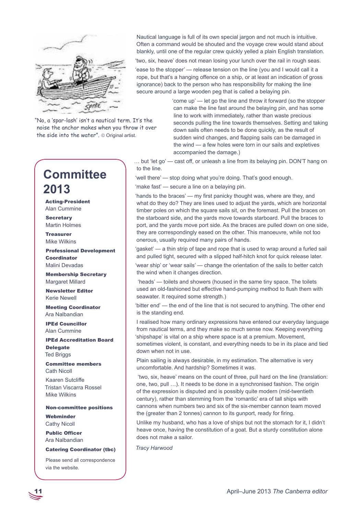

"No, a 'spar-lash' isn't a nautical term. It's the noise the anchor makes when you throw it over the side into the water". © Original artist.

## **Committee 2013**

Acting-President Alan Cummine

**Secretary** Martin Holmes

Treasurer Mike Wilkins

Professional Development Coordinator Malini Devadas

Membership Secretary Margaret Millard

Newsletter Editor Kerie Newell

Meeting Coordinator Ara Nalbandian

IPEd Councillor Alan Cummine

IPEd Accreditation Board Delegate Ted Briggs

Committee members Cath Nicoll

Kaaren Sutcliffe Tristan Viscarra Rossel Mike Wilkins

Non-committee positions Webminder

Cathy Nicoll

Public Officer Ara Nalbandian

#### Catering Coordinator (tbc)

Please send all correspondence via the [website](http://www.editorscanberra.org/about/contacts/).

Nautical language is full of its own special jargon and not much is intuitive. Often a command would be shouted and the voyage crew would stand about blankly, until one of the regular crew quickly yelled a plain English translation.

'two, six, heave' does not mean losing your lunch over the rail in rough seas. 'ease to the stopper' — release tension on the line (you and I would call it a rope, but that's a hanging offence on a ship, or at least an indication of gross ignorance) back to the person who has responsibility for making the line secure around a large wooden peg that is called a belaying pin.

> 'come up' — let go the line and throw it forward (so the stopper can make the line fast around the belaying pin, and has some line to work with immediately, rather than waste precious seconds pulling the line towards themselves. Setting and taking down sails often needs to be done quickly, as the result of sudden wind changes, and flapping sails can be damaged in the wind — a few holes were torn in our sails and expletives accompanied the damage.)

… but 'let go' — cast off, or unleash a line from its belaying pin. DON'T hang on to the line.

'well there' — stop doing what you're doing. That's good enough.

'make fast' — secure a line on a belaying pin.

'hands to the braces' — my first panicky thought was, where are they, and what do they do? They are lines used to adjust the yards, which are horizontal timber poles on which the square sails sit, on the foremast. Pull the braces on the starboard side, and the yards move towards starboard. Pull the braces to port, and the yards move port side. As the braces are pulled down on one side, they are correspondingly eased on the other. This manoeuvre, while not too onerous, usually required many pairs of hands.

'gasket' — a thin strip of tape and rope that is used to wrap around a furled sail and pulled tight, secured with a slipped half-hitch knot for quick release later.

'wear ship' or 'wear sails' — change the orientation of the sails to better catch the wind when it changes direction.

 'heads' — toilets and showers (housed in the same tiny space. The toilets used an old-fashioned but effective hand-pumping method to flush them with seawater. It required some strength.)

'bitter end' — the end of the line that is not secured to anything. The other end is the standing end.

I realised how many ordinary expressions have entered our everyday language from nautical terms, and they make so much sense now. Keeping everything 'shipshape' is vital on a ship where space is at a premium. Movement,

sometimes violent, is constant, and everything needs to be in its place and tied down when not in use.

Plain sailing is always desirable, in my estimation. The alternative is very uncomfortable. And hardship? Sometimes it was.

 'two, six, heave' means on the count of three, pull hard on the line (translation: one, two, pull …). It needs to be done in a synchronised fashion. The origin of the expression is disputed and is possibly quite modern (mid-twentieth century), rather than stemming from the 'romantic' era of tall ships with cannons when numbers two and six of the six-member cannon team moved the (greater than 2 tonnes) cannon to its gunport, ready for firing.

Unlike my husband, who has a love of ships but not the stomach for it, I didn't heave once, having the constitution of a goat. But a sturdy constitution alone does not make a sailor.

*Tracy Harwood*